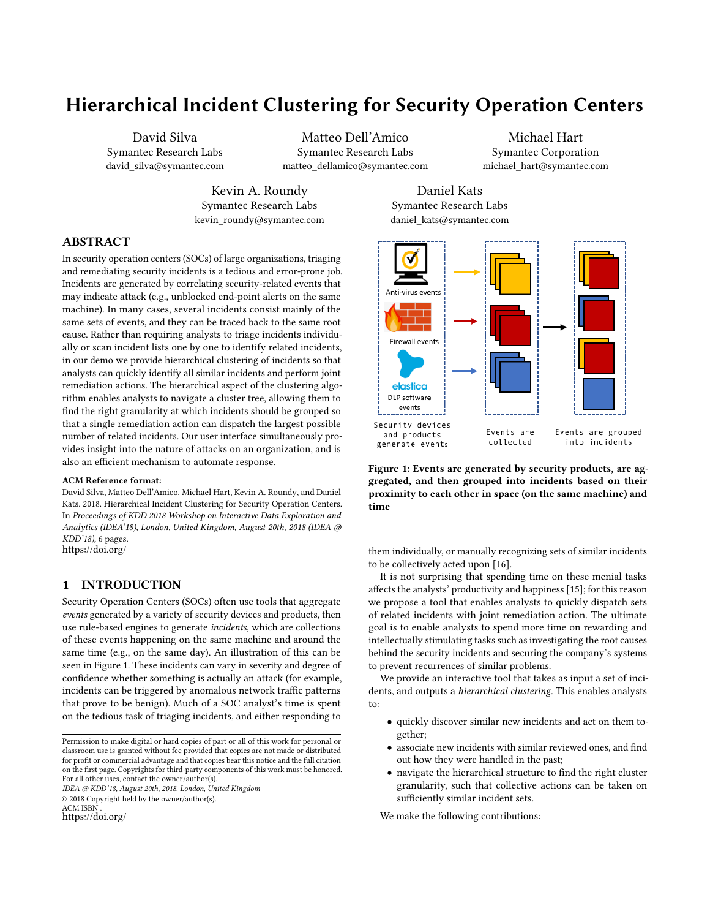# Hierarchical Incident Clustering for Security Operation Centers

David Silva Symantec Research Labs david\_silva@symantec.com

Matteo Dell'Amico Symantec Research Labs matteo\_dellamico@symantec.com

time

Michael Hart Symantec Corporation michael\_hart@symantec.com

Kevin A. Roundy Symantec Research Labs kevin\_roundy@symantec.com

daniel\_kats@symantec.com **Inti-virus events Firewall events** 

# ABSTRACT

In security operation centers (SOCs) of large organizations, triaging and remediating security incidents is a tedious and error-prone job. Incidents are generated by correlating security-related events that may indicate attack (e.g., unblocked end-point alerts on the same machine). In many cases, several incidents consist mainly of the same sets of events, and they can be traced back to the same root cause. Rather than requiring analysts to triage incidents individually or scan incident lists one by one to identify related incidents, in our demo we provide hierarchical clustering of incidents so that analysts can quickly identify all similar incidents and perform joint remediation actions. The hierarchical aspect of the clustering algorithm enables analysts to navigate a cluster tree, allowing them to find the right granularity at which incidents should be grouped so that a single remediation action can dispatch the largest possible number of related incidents. Our user interface simultaneously provides insight into the nature of attacks on an organization, and is also an efficient mechanism to automate response.

#### ACM Reference format:

David Silva, Matteo Dell'Amico, Michael Hart, Kevin A. Roundy, and Daniel Kats. 2018. Hierarchical Incident Clustering for Security Operation Centers. In Proceedings of KDD 2018 Workshop on Interactive Data Exploration and Analytics (IDEA'18), London, United Kingdom, August 20th, 2018 (IDEA @ KDD'18), [6](#page-5-0) pages. <https://doi.org/>

### 1 INTRODUCTION

Security Operation Centers (SOCs) often use tools that aggregate events generated by a variety of security devices and products, then use rule-based engines to generate incidents, which are collections of these events happening on the same machine and around the same time (e.g., on the same day). An illustration of this can be seen in Figure [1.](#page-0-0) These incidents can vary in severity and degree of confidence whether something is actually an attack (for example, incidents can be triggered by anomalous network traffic patterns that prove to be benign). Much of a SOC analyst's time is spent on the tedious task of triaging incidents, and either responding to

Permission to make digital or hard copies of part or all of this work for personal or classroom use is granted without fee provided that copies are not made or distributed for profit or commercial advantage and that copies bear this notice and the full citation on the first page. Copyrights for third-party components of this work must be honored. For all other uses, contact the owner/author(s).

IDEA @ KDD'18, August 20th, 2018, London, United Kingdom

© 2018 Copyright held by the owner/author(s).

ACM ISBN

<https://doi.org/>

them individually, or manually recognizing sets of similar incidents to be collectively acted upon [\[16\]](#page-5-1).

Figure 1: Events are generated by security products, are aggregated, and then grouped into incidents based on their proximity to each other in space (on the same machine) and

It is not surprising that spending time on these menial tasks affects the analysts' productivity and happiness [\[15\]](#page-5-2); for this reason we propose a tool that enables analysts to quickly dispatch sets of related incidents with joint remediation action. The ultimate goal is to enable analysts to spend more time on rewarding and intellectually stimulating tasks such as investigating the root causes behind the security incidents and securing the company's systems to prevent recurrences of similar problems.

We provide an interactive tool that takes as input a set of incidents, and outputs a hierarchical clustering. This enables analysts to:

- quickly discover similar new incidents and act on them together;
- associate new incidents with similar reviewed ones, and find out how they were handled in the past;
- navigate the hierarchical structure to find the right cluster granularity, such that collective actions can be taken on sufficiently similar incident sets.

We make the following contributions:

Daniel Kats Symantec Research Labs

<span id="page-0-0"></span>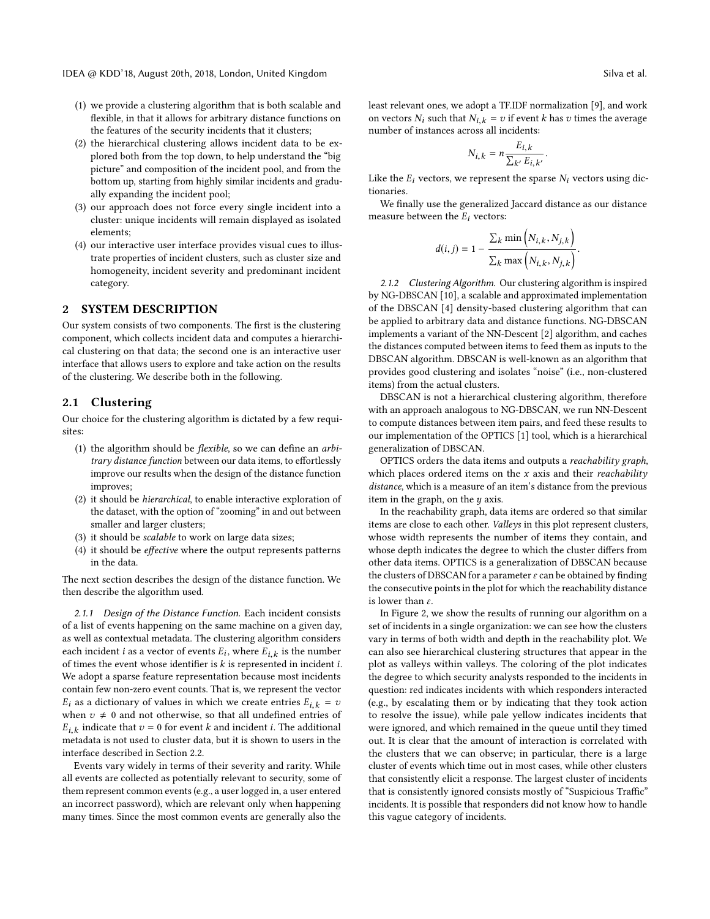- (1) we provide a clustering algorithm that is both scalable and flexible, in that it allows for arbitrary distance functions on the features of the security incidents that it clusters;
- (2) the hierarchical clustering allows incident data to be explored both from the top down, to help understand the "big picture" and composition of the incident pool, and from the bottom up, starting from highly similar incidents and gradually expanding the incident pool;
- (3) our approach does not force every single incident into a cluster: unique incidents will remain displayed as isolated elements;
- (4) our interactive user interface provides visual cues to illustrate properties of incident clusters, such as cluster size and homogeneity, incident severity and predominant incident category.

## 2 SYSTEM DESCRIPTION

Our system consists of two components. The first is the clustering component, which collects incident data and computes a hierarchical clustering on that data; the second one is an interactive user interface that allows users to explore and take action on the results of the clustering. We describe both in the following.

# 2.1 Clustering

Our choice for the clustering algorithm is dictated by a few requisites:

- (1) the algorithm should be flexible, so we can define an arbitrary distance function between our data items, to effortlessly improve our results when the design of the distance function improves;
- (2) it should be hierarchical, to enable interactive exploration of the dataset, with the option of "zooming" in and out between smaller and larger clusters;
- (3) it should be scalable to work on large data sizes;
- (4) it should be effective where the output represents patterns in the data.

The next section describes the design of the distance function. We then describe the algorithm used.

<span id="page-1-0"></span>2.1.1 Design of the Distance Function. Each incident consists of a list of events happening on the same machine on a given day, as well as contextual metadata. The clustering algorithm considers each incident *i* as a vector of events  $E_i$ , where  $E_{i,k}$  is the number of times the event whose identifier is *k* is represented in incident *i* of times the event whose identifier is  $k$  is represented in incident  $i$ . We adopt a sparse feature representation because most incidents contain few non-zero event counts. That is, we represent the vector  $E_i$  as a dictionary of values in which we create entries  $E_{i,k} = v$ when  $v \neq 0$  and not otherwise, so that all undefined entries of  $E_{i,k}$  indicate that  $v = 0$  for event k and incident l. The additional metadata is not used to cluster data, but it is shown to users in the  $E_{i,k}$  indicate that  $v = 0$  for event k and incident i. The additional interface described in Section [2.2.](#page-2-0)

Events vary widely in terms of their severity and rarity. While all events are collected as potentially relevant to security, some of them represent common events (e.g., a user logged in, a user entered an incorrect password), which are relevant only when happening many times. Since the most common events are generally also the

least relevant ones, we adopt a TF.IDF normalization [\[9\]](#page-5-3), and work on vectors  $N_i$  such that  $N_{i,k} = v$  if event k has v times the average number of instances across all incidents:

$$
N_{i,k} = n \frac{E_{i,k}}{\sum_{k'} E_{i,k'}}.
$$

Like the  $E_i$  vectors, we represent the sparse  $N_i$  vectors using dictionaries.

We finally use the generalized Jaccard distance as our distance measure between the  $E_i$  vectors:

$$
d(i,j) = 1 - \frac{\sum_{k} \min\left(N_{i,k}, N_{j,k}\right)}{\sum_{k} \max\left(N_{i,k}, N_{j,k}\right)}.
$$

2.1.2 Clustering Algorithm. Our clustering algorithm is inspired by NG-DBSCAN [\[10\]](#page-5-4), a scalable and approximated implementation of the DBSCAN [\[4\]](#page-5-5) density-based clustering algorithm that can be applied to arbitrary data and distance functions. NG-DBSCAN implements a variant of the NN-Descent [\[2\]](#page-5-6) algorithm, and caches the distances computed between items to feed them as inputs to the DBSCAN algorithm. DBSCAN is well-known as an algorithm that provides good clustering and isolates "noise" (i.e., non-clustered items) from the actual clusters.

DBSCAN is not a hierarchical clustering algorithm, therefore with an approach analogous to NG-DBSCAN, we run NN-Descent to compute distances between item pairs, and feed these results to our implementation of the OPTICS [\[1\]](#page-5-7) tool, which is a hierarchical generalization of DBSCAN.

OPTICS orders the data items and outputs a reachability graph, which places ordered items on the  $x$  axis and their *reachability* distance, which is a measure of an item's distance from the previous item in the graph, on the  $y$  axis.

In the reachability graph, data items are ordered so that similar items are close to each other. Valleys in this plot represent clusters, whose width represents the number of items they contain, and whose depth indicates the degree to which the cluster differs from other data items. OPTICS is a generalization of DBSCAN because the clusters of DBSCAN for a parameter  $\varepsilon$  can be obtained by finding the consecutive points in the plot for which the reachability distance is lower than  $\varepsilon$ .

In Figure [2,](#page-2-1) we show the results of running our algorithm on a set of incidents in a single organization: we can see how the clusters vary in terms of both width and depth in the reachability plot. We can also see hierarchical clustering structures that appear in the plot as valleys within valleys. The coloring of the plot indicates the degree to which security analysts responded to the incidents in question: red indicates incidents with which responders interacted (e.g., by escalating them or by indicating that they took action to resolve the issue), while pale yellow indicates incidents that were ignored, and which remained in the queue until they timed out. It is clear that the amount of interaction is correlated with the clusters that we can observe; in particular, there is a large cluster of events which time out in most cases, while other clusters that consistently elicit a response. The largest cluster of incidents that is consistently ignored consists mostly of "Suspicious Traffic" incidents. It is possible that responders did not know how to handle this vague category of incidents.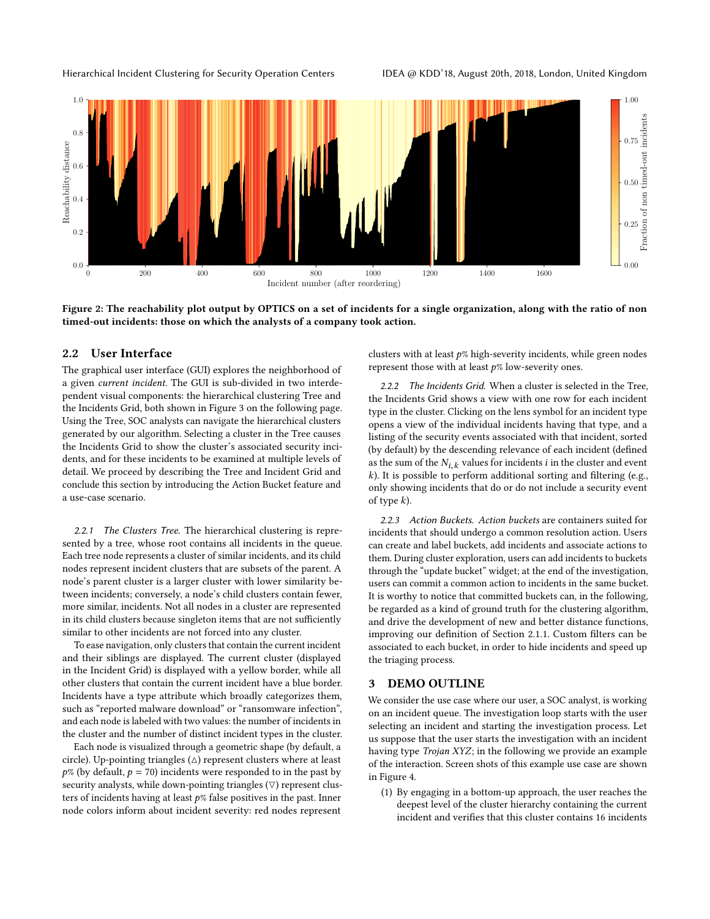Hierarchical Incident Clustering for Security Operation Centers **IDEA @ KDD'18, August 20th, 2018, London**, United Kingdom

<span id="page-2-1"></span>

Figure 2: The reachability plot output by OPTICS on a set of incidents for a single organization, along with the ratio of non timed-out incidents: those on which the analysts of a company took action.

#### <span id="page-2-0"></span>2.2 User Interface

The graphical user interface (GUI) explores the neighborhood of a given current incident. The GUI is sub-divided in two interdependent visual components: the hierarchical clustering Tree and the Incidents Grid, both shown in Figure [3 on the following page.](#page-3-0) Using the Tree, SOC analysts can navigate the hierarchical clusters generated by our algorithm. Selecting a cluster in the Tree causes the Incidents Grid to show the cluster's associated security incidents, and for these incidents to be examined at multiple levels of detail. We proceed by describing the Tree and Incident Grid and conclude this section by introducing the Action Bucket feature and a use-case scenario.

2.2.1 The Clusters Tree. The hierarchical clustering is represented by a tree, whose root contains all incidents in the queue. Each tree node represents a cluster of similar incidents, and its child nodes represent incident clusters that are subsets of the parent. A node's parent cluster is a larger cluster with lower similarity between incidents; conversely, a node's child clusters contain fewer, more similar, incidents. Not all nodes in a cluster are represented in its child clusters because singleton items that are not sufficiently similar to other incidents are not forced into any cluster.

To ease navigation, only clusters that contain the current incident and their siblings are displayed. The current cluster (displayed in the Incident Grid) is displayed with a yellow border, while all other clusters that contain the current incident have a blue border. Incidents have a type attribute which broadly categorizes them, such as "reported malware download" or "ransomware infection", and each node is labeled with two values: the number of incidents in the cluster and the number of distinct incident types in the cluster.

Each node is visualized through a geometric shape (by default, a circle). Up-pointing triangles  $(\triangle)$  represent clusters where at least  $p\%$  (by default,  $p = 70$ ) incidents were responded to in the past by security analysts, while down-pointing triangles  $(\nabla)$  represent clusters of incidents having at least  $p$ % false positives in the past. Inner node colors inform about incident severity: red nodes represent

clusters with at least  $p$ % high-severity incidents, while green nodes represent those with at least  $p\%$  low-severity ones.

2.2.2 The Incidents Grid. When a cluster is selected in the Tree, the Incidents Grid shows a view with one row for each incident type in the cluster. Clicking on the lens symbol for an incident type opens a view of the individual incidents having that type, and a listing of the security events associated with that incident, sorted (by default) by the descending relevance of each incident (defined as the sum of the  $N_{i,k}$  values for incidents i in the cluster and event  $k$ ). It is possible to perform additional sorting and filtering (e.g., only showing incidents that do or do not include a security event of type  $k$ ).

2.2.3 Action Buckets. Action buckets are containers suited for incidents that should undergo a common resolution action. Users can create and label buckets, add incidents and associate actions to them. During cluster exploration, users can add incidents to buckets through the "update bucket" widget; at the end of the investigation, users can commit a common action to incidents in the same bucket. It is worthy to notice that committed buckets can, in the following, be regarded as a kind of ground truth for the clustering algorithm, and drive the development of new and better distance functions, improving our definition of Section [2.1.1.](#page-1-0) Custom filters can be associated to each bucket, in order to hide incidents and speed up the triaging process.

# <span id="page-2-2"></span>3 DEMO OUTLINE

We consider the use case where our user, a SOC analyst, is working on an incident queue. The investigation loop starts with the user selecting an incident and starting the investigation process. Let us suppose that the user starts the investigation with an incident having type Trojan XYZ; in the following we provide an example of the interaction. Screen shots of this example use case are shown in Figure [4.](#page-3-1)

(1) By engaging in a bottom-up approach, the user reaches the deepest level of the cluster hierarchy containing the current incident and verifies that this cluster contains 16 incidents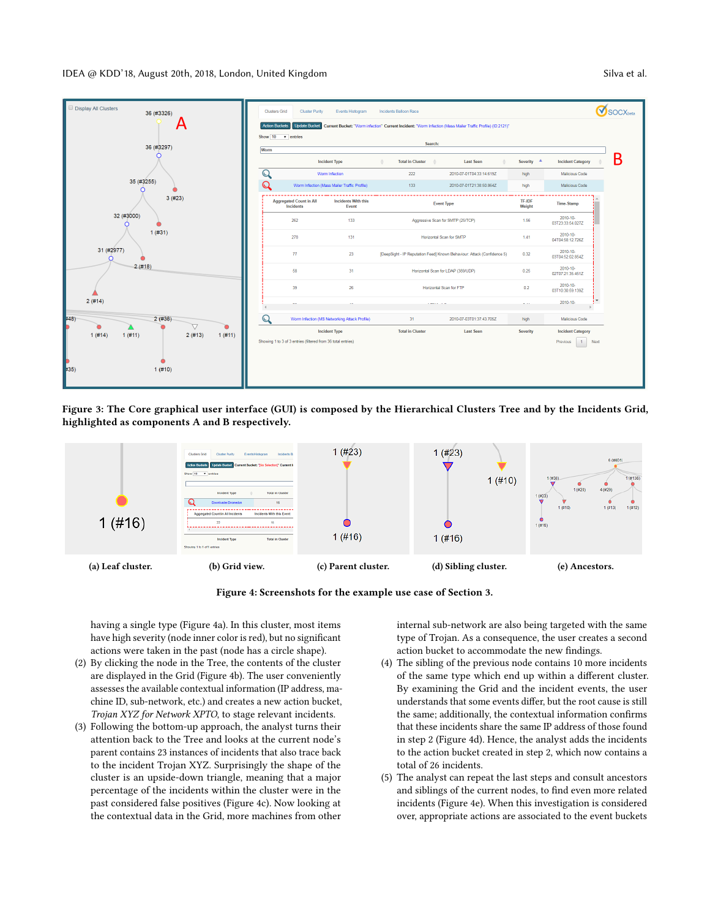IDEA @ KDD'18, August 20th, 2018, London, United Kingdom Silva et al. Silva et al.

<span id="page-3-0"></span>

Figure 3: The Core graphical user interface (GUI) is composed by the Hierarchical Clusters Tree and by the Incidents Grid, highlighted as components A and B respectively.

<span id="page-3-1"></span>

Figure 4: Screenshots for the example use case of Section [3.](#page-2-2)

having a single type (Figure [4a\)](#page-3-1). In this cluster, most items have high severity (node inner color is red), but no significant actions were taken in the past (node has a circle shape).

- <span id="page-3-2"></span>(2) By clicking the node in the Tree, the contents of the cluster are displayed in the Grid (Figure [4b\)](#page-3-1). The user conveniently assesses the available contextual information (IP address, machine ID, sub-network, etc.) and creates a new action bucket, Trojan XYZ for Network XPTO, to stage relevant incidents.
- (3) Following the bottom-up approach, the analyst turns their attention back to the Tree and looks at the current node's parent contains 23 instances of incidents that also trace back to the incident Trojan XYZ. Surprisingly the shape of the cluster is an upside-down triangle, meaning that a major percentage of the incidents within the cluster were in the past considered false positives (Figure [4c\)](#page-3-1). Now looking at the contextual data in the Grid, more machines from other

internal sub-network are also being targeted with the same type of Trojan. As a consequence, the user creates a second action bucket to accommodate the new findings.

- (4) The sibling of the previous node contains 10 more incidents of the same type which end up within a different cluster. By examining the Grid and the incident events, the user understands that some events differ, but the root cause is still the same; additionally, the contextual information confirms that these incidents share the same IP address of those found in step [2](#page-3-2) (Figure [4d\)](#page-3-1). Hence, the analyst adds the incidents to the action bucket created in step [2,](#page-3-2) which now contains a total of 26 incidents.
- (5) The analyst can repeat the last steps and consult ancestors and siblings of the current nodes, to find even more related incidents (Figure [4e\)](#page-3-1). When this investigation is considered over, appropriate actions are associated to the event buckets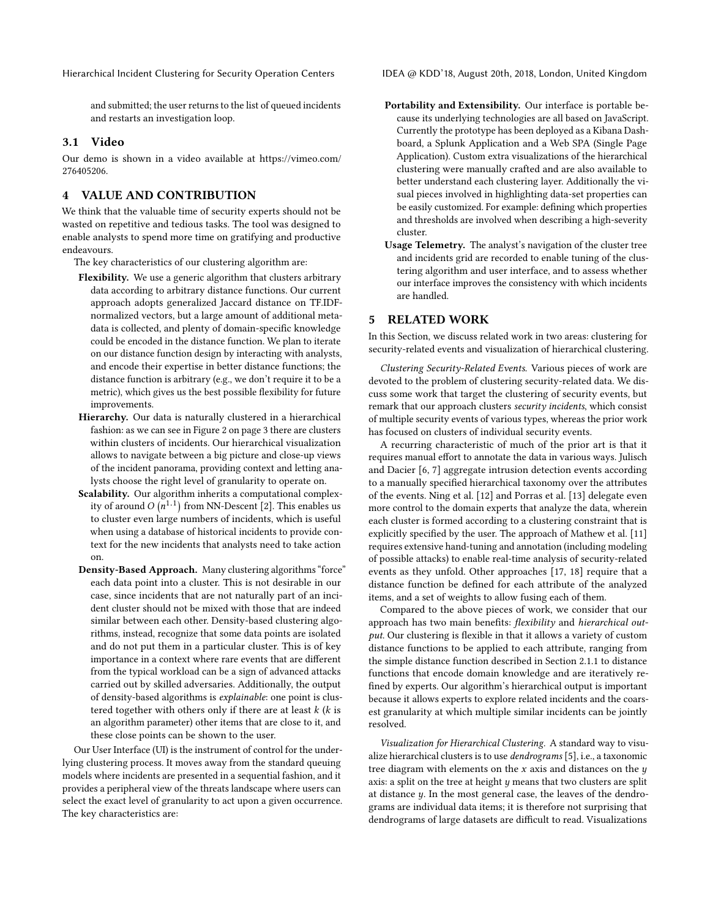Hierarchical Incident Clustering for Security Operation Centers **IDEA @ KDD'18, August 20th, 2018, London**, United Kingdom

and submitted; the user returns to the list of queued incidents and restarts an investigation loop.

## 3.1 Video

Our demo is shown in a video available at [https://vimeo.com/](https://vimeo.com/276405206) [276405206.](https://vimeo.com/276405206)

# 4 VALUE AND CONTRIBUTION

We think that the valuable time of security experts should not be wasted on repetitive and tedious tasks. The tool was designed to enable analysts to spend more time on gratifying and productive endeavours.

The key characteristics of our clustering algorithm are:

- Flexibility. We use a generic algorithm that clusters arbitrary data according to arbitrary distance functions. Our current approach adopts generalized Jaccard distance on TF.IDFnormalized vectors, but a large amount of additional metadata is collected, and plenty of domain-specific knowledge could be encoded in the distance function. We plan to iterate on our distance function design by interacting with analysts, and encode their expertise in better distance functions; the distance function is arbitrary (e.g., we don't require it to be a metric), which gives us the best possible flexibility for future improvements.
- Hierarchy. Our data is naturally clustered in a hierarchical fashion: as we can see in Figure [2 on page 3](#page-2-1) there are clusters within clusters of incidents. Our hierarchical visualization allows to navigate between a big picture and close-up views of the incident panorama, providing context and letting analysts choose the right level of granularity to operate on.
- Scalability. Our algorithm inherits a computational complexity of around  $O(n^{1.1})$  from NN-Descent [\[2\]](#page-5-6). This enables us<br>to cluster even large numbers of incidents, which is useful n to cluster even large numbers of incidents, which is useful when using a database of historical incidents to provide context for the new incidents that analysts need to take action on.
- Density-Based Approach. Many clustering algorithms "force" each data point into a cluster. This is not desirable in our case, since incidents that are not naturally part of an incident cluster should not be mixed with those that are indeed similar between each other. Density-based clustering algorithms, instead, recognize that some data points are isolated and do not put them in a particular cluster. This is of key importance in a context where rare events that are different from the typical workload can be a sign of advanced attacks carried out by skilled adversaries. Additionally, the output of density-based algorithms is explainable: one point is clustered together with others only if there are at least  $k$  ( $k$  is an algorithm parameter) other items that are close to it, and these close points can be shown to the user.

Our User Interface (UI) is the instrument of control for the underlying clustering process. It moves away from the standard queuing models where incidents are presented in a sequential fashion, and it provides a peripheral view of the threats landscape where users can select the exact level of granularity to act upon a given occurrence. The key characteristics are:

- Portability and Extensibility. Our interface is portable because its underlying technologies are all based on JavaScript. Currently the prototype has been deployed as a Kibana Dashboard, a Splunk Application and a Web SPA (Single Page Application). Custom extra visualizations of the hierarchical clustering were manually crafted and are also available to better understand each clustering layer. Additionally the visual pieces involved in highlighting data-set properties can be easily customized. For example: defining which properties and thresholds are involved when describing a high-severity cluster.
- Usage Telemetry. The analyst's navigation of the cluster tree and incidents grid are recorded to enable tuning of the clustering algorithm and user interface, and to assess whether our interface improves the consistency with which incidents are handled.

# 5 RELATED WORK

In this Section, we discuss related work in two areas: clustering for security-related events and visualization of hierarchical clustering.

Clustering Security-Related Events. Various pieces of work are devoted to the problem of clustering security-related data. We discuss some work that target the clustering of security events, but remark that our approach clusters security incidents, which consist of multiple security events of various types, whereas the prior work has focused on clusters of individual security events.

A recurring characteristic of much of the prior art is that it requires manual effort to annotate the data in various ways. [Julisch](#page-5-8) [and Dacier](#page-5-8) [\[6,](#page-5-9) [7\]](#page-5-8) aggregate intrusion detection events according to a manually specified hierarchical taxonomy over the attributes of the events. Ning et al. [\[12\]](#page-5-10) and Porras et al. [\[13\]](#page-5-11) delegate even more control to the domain experts that analyze the data, wherein each cluster is formed according to a clustering constraint that is explicitly specified by the user. The approach of Mathew et al. [\[11\]](#page-5-12) requires extensive hand-tuning and annotation (including modeling of possible attacks) to enable real-time analysis of security-related events as they unfold. Other approaches [\[17,](#page-5-13) [18\]](#page-5-14) require that a distance function be defined for each attribute of the analyzed items, and a set of weights to allow fusing each of them.

Compared to the above pieces of work, we consider that our approach has two main benefits: flexibility and hierarchical output. Our clustering is flexible in that it allows a variety of custom distance functions to be applied to each attribute, ranging from the simple distance function described in Section [2.1.1](#page-1-0) to distance functions that encode domain knowledge and are iteratively refined by experts. Our algorithm's hierarchical output is important because it allows experts to explore related incidents and the coarsest granularity at which multiple similar incidents can be jointly resolved.

Visualization for Hierarchical Clustering. A standard way to visualize hierarchical clusters is to use dendrograms [\[5\]](#page-5-15), i.e., a taxonomic tree diagram with elements on the  $x$  axis and distances on the  $y$ axis: a split on the tree at height  $y$  means that two clusters are split at distance y. In the most general case, the leaves of the dendrograms are individual data items; it is therefore not surprising that dendrograms of large datasets are difficult to read. Visualizations